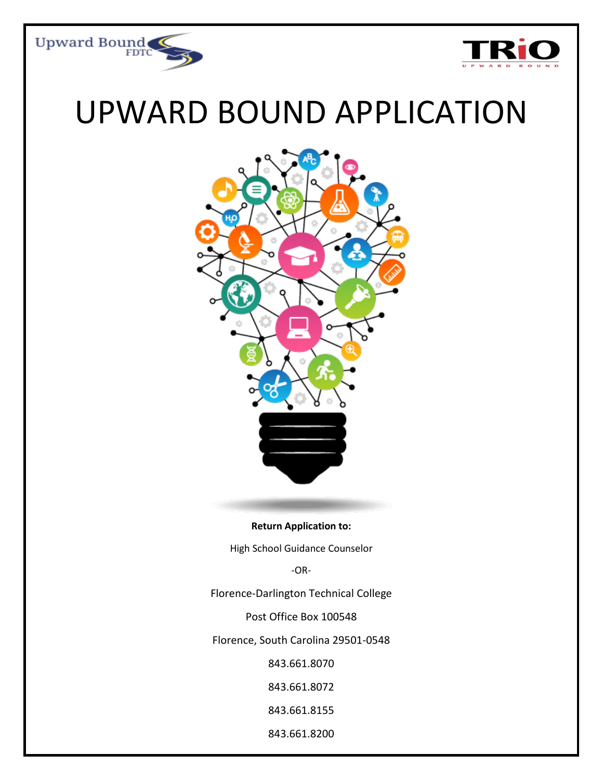



# UPWARD BOUND APPLICATION



**Return Application to:**

High School Guidance Counselor

-OR-

Florence-Darlington Technical College

Post Office Box 100548

Florence, South Carolina 29501-0548

843.661.8070

843.661.8072

843.661.8155

843.661.8200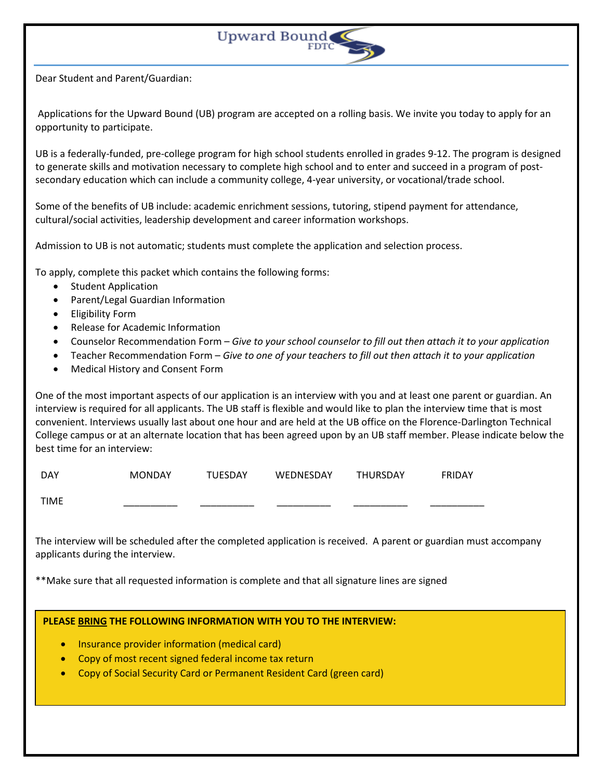

Dear Student and Parent/Guardian:

Applications for the Upward Bound (UB) program are accepted on a rolling basis. We invite you today to apply for an opportunity to participate.

UB is a federally-funded, pre-college program for high school students enrolled in grades 9-12. The program is designed to generate skills and motivation necessary to complete high school and to enter and succeed in a program of postsecondary education which can include a community college, 4-year university, or vocational/trade school.

Some of the benefits of UB include: academic enrichment sessions, tutoring, stipend payment for attendance, cultural/social activities, leadership development and career information workshops.

Admission to UB is not automatic; students must complete the application and selection process.

To apply, complete this packet which contains the following forms:

- Student Application
- Parent/Legal Guardian Information
- Eligibility Form
- Release for Academic Information
- Counselor Recommendation Form *Give to your school counselor to fill out then attach it to your application*
- Teacher Recommendation Form *Give to one of your teachers to fill out then attach it to your application*
- Medical History and Consent Form

One of the most important aspects of our application is an interview with you and at least one parent or guardian. An interview is required for all applicants. The UB staff is flexible and would like to plan the interview time that is most convenient. Interviews usually last about one hour and are held at the UB office on the Florence-Darlington Technical College campus or at an alternate location that has been agreed upon by an UB staff member. Please indicate below the best time for an interview:

| DAY         | <b>MONDAY</b> | <b>TUESDAY</b> | WEDNESDAY | <b>THURSDAY</b> | <b>FRIDAY</b> |
|-------------|---------------|----------------|-----------|-----------------|---------------|
| <b>TIME</b> |               |                |           |                 |               |

The interview will be scheduled after the completed application is received. A parent or guardian must accompany applicants during the interview.

\*\*Make sure that all requested information is complete and that all signature lines are signed

#### **PLEASE BRING THE FOLLOWING INFORMATION WITH YOU TO THE INTERVIEW:**

- Insurance provider information (medical card)
- Copy of most recent signed federal income tax return
- Copy of Social Security Card or Permanent Resident Card (green card)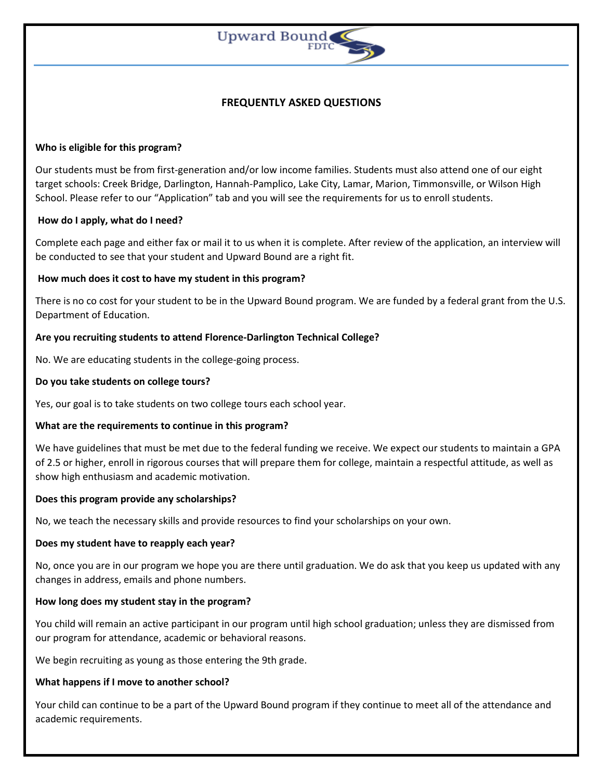

# **FREQUENTLY ASKED QUESTIONS**

#### **Who is eligible for this program?**

Our students must be from first-generation and/or low income families. Students must also attend one of our eight target schools: Creek Bridge, Darlington, Hannah-Pamplico, Lake City, Lamar, Marion, Timmonsville, or Wilson High School. Please refer to our "Application" tab and you will see the requirements for us to enroll students.

#### **How do I apply, what do I need?**

Complete each page and either fax or mail it to us when it is complete. After review of the application, an interview will be conducted to see that your student and Upward Bound are a right fit.

#### **How much does it cost to have my student in this program?**

There is no co cost for your student to be in the Upward Bound program. We are funded by a federal grant from the U.S. Department of Education.

#### **Are you recruiting students to attend Florence-Darlington Technical College?**

No. We are educating students in the college-going process.

#### **Do you take students on college tours?**

Yes, our goal is to take students on two college tours each school year.

# **What are the requirements to continue in this program?**

We have guidelines that must be met due to the federal funding we receive. We expect our students to maintain a GPA of 2.5 or higher, enroll in rigorous courses that will prepare them for college, maintain a respectful attitude, as well as show high enthusiasm and academic motivation.

#### **Does this program provide any scholarships?**

No, we teach the necessary skills and provide resources to find your scholarships on your own.

#### **Does my student have to reapply each year?**

No, once you are in our program we hope you are there until graduation. We do ask that you keep us updated with any changes in address, emails and phone numbers.

# **How long does my student stay in the program?**

You child will remain an active participant in our program until high school graduation; unless they are dismissed from our program for attendance, academic or behavioral reasons.

We begin recruiting as young as those entering the 9th grade.

#### **What happens if I move to another school?**

Your child can continue to be a part of the Upward Bound program if they continue to meet all of the attendance and academic requirements.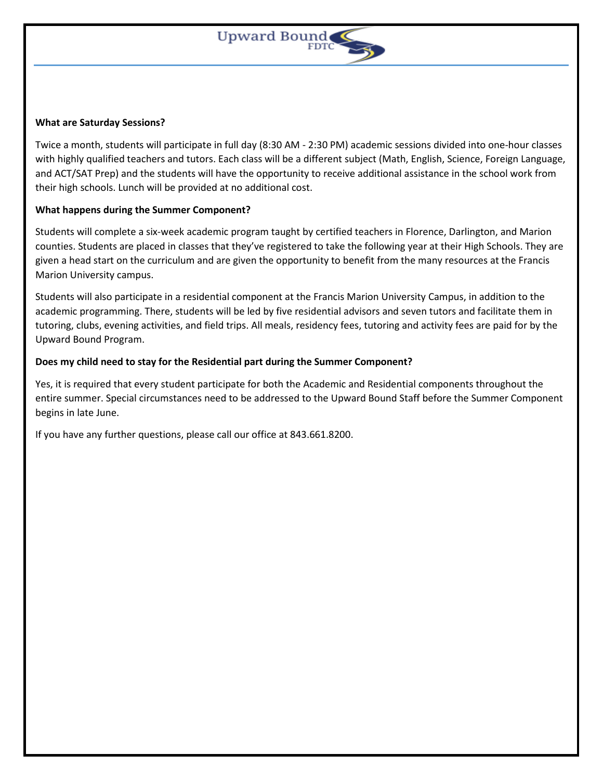

#### **What are Saturday Sessions?**

Twice a month, students will participate in full day (8:30 AM - 2:30 PM) academic sessions divided into one-hour classes with highly qualified teachers and tutors. Each class will be a different subject (Math, English, Science, Foreign Language, and ACT/SAT Prep) and the students will have the opportunity to receive additional assistance in the school work from their high schools. Lunch will be provided at no additional cost.

#### **What happens during the Summer Component?**

Students will complete a six-week academic program taught by certified teachers in Florence, Darlington, and Marion counties. Students are placed in classes that they've registered to take the following year at their High Schools. They are given a head start on the curriculum and are given the opportunity to benefit from the many resources at the Francis Marion University campus.

Students will also participate in a residential component at the Francis Marion University Campus, in addition to the academic programming. There, students will be led by five residential advisors and seven tutors and facilitate them in tutoring, clubs, evening activities, and field trips. All meals, residency fees, tutoring and activity fees are paid for by the Upward Bound Program.

#### **Does my child need to stay for the Residential part during the Summer Component?**

Yes, it is required that every student participate for both the Academic and Residential components throughout the entire summer. Special circumstances need to be addressed to the Upward Bound Staff before the Summer Component begins in late June.

If you have any further questions, please call our office at 843.661.8200.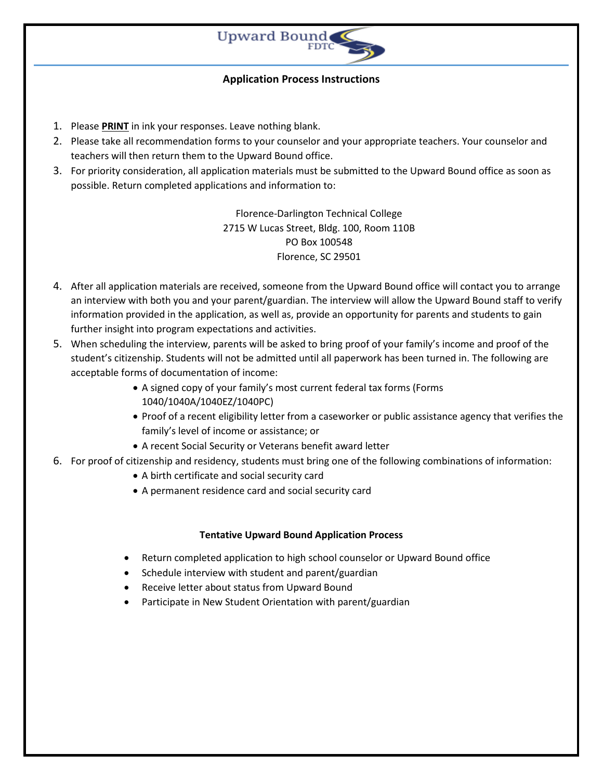

# **Application Process Instructions**

- 1. Please **PRINT** in ink your responses. Leave nothing blank.
- 2. Please take all recommendation forms to your counselor and your appropriate teachers. Your counselor and teachers will then return them to the Upward Bound office.
- 3. For priority consideration, all application materials must be submitted to the Upward Bound office as soon as possible. Return completed applications and information to:

Florence-Darlington Technical College 2715 W Lucas Street, Bldg. 100, Room 110B PO Box 100548 Florence, SC 29501

- 4. After all application materials are received, someone from the Upward Bound office will contact you to arrange an interview with both you and your parent/guardian. The interview will allow the Upward Bound staff to verify information provided in the application, as well as, provide an opportunity for parents and students to gain further insight into program expectations and activities.
- 5. When scheduling the interview, parents will be asked to bring proof of your family's income and proof of the student's citizenship. Students will not be admitted until all paperwork has been turned in. The following are acceptable forms of documentation of income:
	- A signed copy of your family's most current federal tax forms (Forms 1040/1040A/1040EZ/1040PC)
	- Proof of a recent eligibility letter from a caseworker or public assistance agency that verifies the family's level of income or assistance; or
	- A recent Social Security or Veterans benefit award letter
- 6. For proof of citizenship and residency, students must bring one of the following combinations of information:
	- A birth certificate and social security card
	- A permanent residence card and social security card

# **Tentative Upward Bound Application Process**

- Return completed application to high school counselor or Upward Bound office
- Schedule interview with student and parent/guardian
- Receive letter about status from Upward Bound
- Participate in New Student Orientation with parent/guardian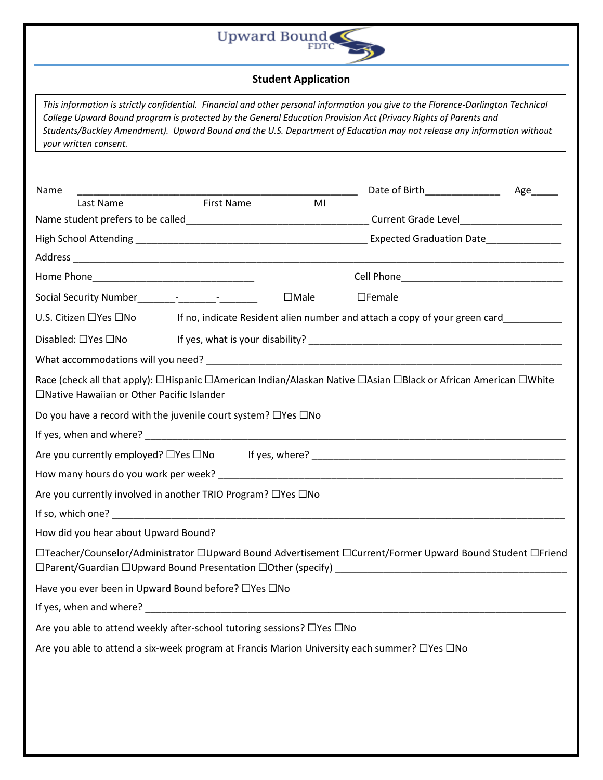

# **Student Application**

*This information is strictly confidential. Financial and other personal information you give to the Florence-Darlington Technical College Upward Bound program is protected by the General Education Provision Act (Privacy Rights of Parents and Students/Buckley Amendment). Upward Bound and the U.S. Department of Education may not release any information without your written consent.*

| Name                                                                                           |                   |             | Date of Birth______________                                                                                     | Age______ |
|------------------------------------------------------------------------------------------------|-------------------|-------------|-----------------------------------------------------------------------------------------------------------------|-----------|
| Last Name                                                                                      | <b>First Name</b> | MI          |                                                                                                                 |           |
|                                                                                                |                   |             |                                                                                                                 |           |
|                                                                                                |                   |             |                                                                                                                 |           |
|                                                                                                |                   |             |                                                                                                                 |           |
|                                                                                                |                   |             |                                                                                                                 |           |
|                                                                                                |                   | $\Box$ Male | $\Box$ Female                                                                                                   |           |
| U.S. Citizen □Yes □No                                                                          |                   |             | If no, indicate Resident alien number and attach a copy of your green card                                      |           |
| Disabled: □Yes □No                                                                             |                   |             |                                                                                                                 |           |
|                                                                                                |                   |             |                                                                                                                 |           |
| □Native Hawaiian or Other Pacific Islander                                                     |                   |             | Race (check all that apply): □Hispanic □American Indian/Alaskan Native □Asian □Black or African American □White |           |
| Do you have a record with the juvenile court system? $\Box$ Yes $\Box$ No                      |                   |             |                                                                                                                 |           |
|                                                                                                |                   |             |                                                                                                                 |           |
|                                                                                                |                   |             |                                                                                                                 |           |
|                                                                                                |                   |             |                                                                                                                 |           |
| Are you currently involved in another TRIO Program? □ Yes □ No                                 |                   |             |                                                                                                                 |           |
|                                                                                                |                   |             |                                                                                                                 |           |
| How did you hear about Upward Bound?                                                           |                   |             |                                                                                                                 |           |
|                                                                                                |                   |             | □Teacher/Counselor/Administrator □Upward Bound Advertisement □Current/Former Upward Bound Student □Friend       |           |
| Have you ever been in Upward Bound before? □Yes □No                                            |                   |             |                                                                                                                 |           |
|                                                                                                |                   |             |                                                                                                                 |           |
| Are you able to attend weekly after-school tutoring sessions? □Yes □No                         |                   |             |                                                                                                                 |           |
| Are you able to attend a six-week program at Francis Marion University each summer? □ Yes □ No |                   |             |                                                                                                                 |           |
|                                                                                                |                   |             |                                                                                                                 |           |
|                                                                                                |                   |             |                                                                                                                 |           |
|                                                                                                |                   |             |                                                                                                                 |           |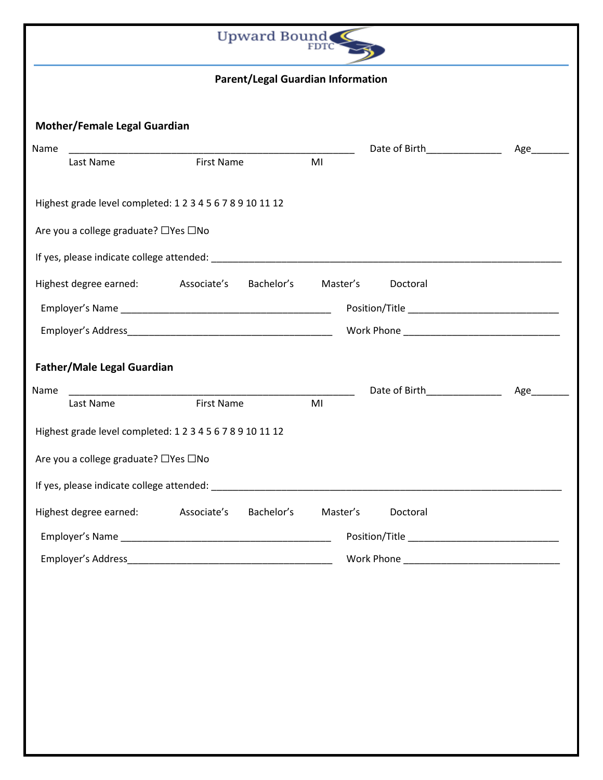|                                                                                                                                                                                                                               |                                          | <b>Parent/Legal Guardian Information</b> |  |  |  |
|-------------------------------------------------------------------------------------------------------------------------------------------------------------------------------------------------------------------------------|------------------------------------------|------------------------------------------|--|--|--|
| <b>Mother/Female Legal Guardian</b><br>Name                                                                                                                                                                                   |                                          |                                          |  |  |  |
| <b>First Name</b><br>Last Name                                                                                                                                                                                                | Date of Birth_____________<br>MI         | Age                                      |  |  |  |
| Highest grade level completed: 1 2 3 4 5 6 7 8 9 10 11 12                                                                                                                                                                     |                                          |                                          |  |  |  |
| Are you a college graduate? □Yes □No                                                                                                                                                                                          |                                          |                                          |  |  |  |
|                                                                                                                                                                                                                               |                                          |                                          |  |  |  |
| Highest degree earned: Associate's                                                                                                                                                                                            | Bachelor's Master's<br>Doctoral          |                                          |  |  |  |
|                                                                                                                                                                                                                               |                                          |                                          |  |  |  |
|                                                                                                                                                                                                                               |                                          |                                          |  |  |  |
| <b>Father/Male Legal Guardian</b>                                                                                                                                                                                             |                                          |                                          |  |  |  |
| Name<br><u> 2000 - Jan James James James James James James James James James James James James James James James James J</u><br><b>First Name</b><br>Last Name                                                                | Date of Birth <b>Exercise 2018</b><br>MI | Age                                      |  |  |  |
|                                                                                                                                                                                                                               |                                          |                                          |  |  |  |
| Highest grade level completed: 1 2 3 4 5 6 7 8 9 10 11 12                                                                                                                                                                     |                                          |                                          |  |  |  |
| Are you a college graduate? □Yes □No                                                                                                                                                                                          |                                          |                                          |  |  |  |
| If yes, please indicate college attended: National College and College at the collection of the collection of the collection of the collection of the collection of the collection of the collection of the collection of the |                                          |                                          |  |  |  |
| Highest degree earned:<br>Associate's<br>Bachelor's                                                                                                                                                                           | Master's<br>Doctoral                     |                                          |  |  |  |
|                                                                                                                                                                                                                               |                                          |                                          |  |  |  |
|                                                                                                                                                                                                                               |                                          |                                          |  |  |  |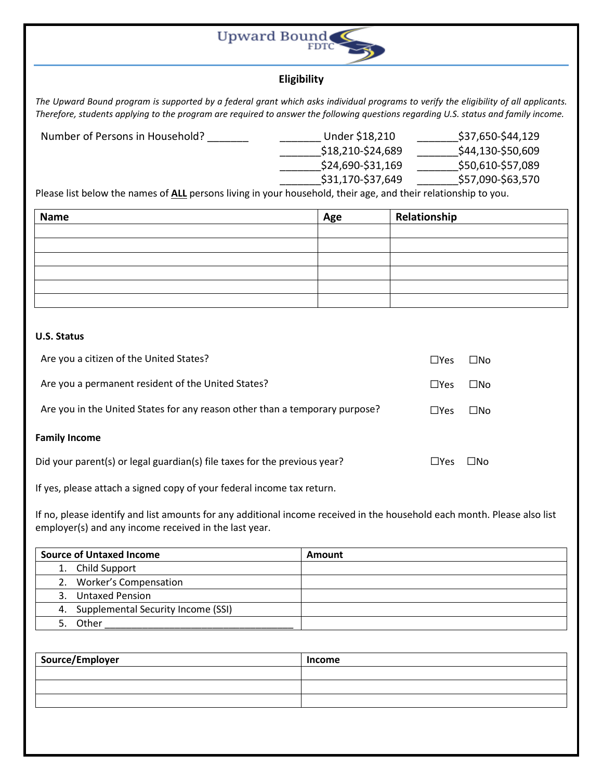

# **Eligibility**

*The Upward Bound program is supported by a federal grant which asks individual programs to verify the eligibility of all applicants. Therefore, students applying to the program are required to answer the following questions regarding U.S. status and family income.*

| Under \$18,210    | \$37,650-\$44,129 |
|-------------------|-------------------|
| \$18,210-\$24,689 | \$44,130-\$50,609 |
| \$24,690-\$31,169 | \$50,610-\$57,089 |
| \$31,170-\$37,649 | \$57,090-\$63,570 |
|                   |                   |

Please list below the names of **ALL** persons living in your household, their age, and their relationship to you.

| <b>Name</b> | Age | Relationship |
|-------------|-----|--------------|
|             |     |              |
|             |     |              |
|             |     |              |
|             |     |              |
|             |     |              |
|             |     |              |

#### **U.S. Status**

| Are you a citizen of the United States?                                     | $\Box$ Yes    | $\square$ No |
|-----------------------------------------------------------------------------|---------------|--------------|
| Are you a permanent resident of the United States?                          | $\Box$ Yes    | $\square$ No |
| Are you in the United States for any reason other than a temporary purpose? | $\Box$ Yes    | $\square$ No |
| <b>Family Income</b>                                                        |               |              |
| Did your parent(s) or legal guardian(s) file taxes for the previous year?   | $\square$ Yes | □No          |

If yes, please attach a signed copy of your federal income tax return.

If no, please identify and list amounts for any additional income received in the household each month. Please also list employer(s) and any income received in the last year.

| <b>Source of Untaxed Income</b>       | Amount |
|---------------------------------------|--------|
| 1. Child Support                      |        |
| 2. Worker's Compensation              |        |
| 3. Untaxed Pension                    |        |
| 4. Supplemental Security Income (SSI) |        |
| 5. Other                              |        |

| Source/Employer | Income |
|-----------------|--------|
|                 |        |
|                 |        |
|                 |        |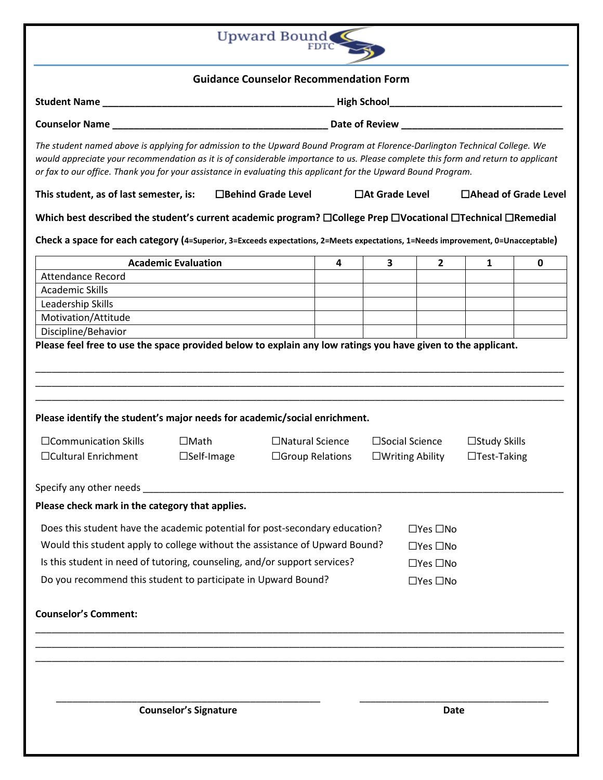|                                                                                                                                                                                                                                                                                                                                                                                   |                                        | Upward Bound                                  |   |                                                    |                                                                                              |                                     |                       |
|-----------------------------------------------------------------------------------------------------------------------------------------------------------------------------------------------------------------------------------------------------------------------------------------------------------------------------------------------------------------------------------|----------------------------------------|-----------------------------------------------|---|----------------------------------------------------|----------------------------------------------------------------------------------------------|-------------------------------------|-----------------------|
|                                                                                                                                                                                                                                                                                                                                                                                   |                                        | <b>Guidance Counselor Recommendation Form</b> |   |                                                    |                                                                                              |                                     |                       |
|                                                                                                                                                                                                                                                                                                                                                                                   |                                        |                                               |   |                                                    |                                                                                              |                                     |                       |
|                                                                                                                                                                                                                                                                                                                                                                                   |                                        |                                               |   |                                                    |                                                                                              |                                     |                       |
| The student named above is applying for admission to the Upward Bound Program at Florence-Darlington Technical College. We<br>would appreciate your recommendation as it is of considerable importance to us. Please complete this form and return to applicant<br>or fax to our office. Thank you for your assistance in evaluating this applicant for the Upward Bound Program. |                                        |                                               |   |                                                    |                                                                                              |                                     |                       |
| This student, as of last semester, is:                                                                                                                                                                                                                                                                                                                                            |                                        | $\Box$ Behind Grade Level                     |   | □At Grade Level                                    |                                                                                              |                                     | □Ahead of Grade Level |
| Which best described the student's current academic program? $\Box$ College Prep $\Box$ Vocational $\Box$ Technical $\Box$ Remedial                                                                                                                                                                                                                                               |                                        |                                               |   |                                                    |                                                                                              |                                     |                       |
| Check a space for each category (4=Superior, 3=Exceeds expectations, 2=Meets expectations, 1=Needs improvement, 0=Unacceptable)                                                                                                                                                                                                                                                   |                                        |                                               |   |                                                    |                                                                                              |                                     |                       |
|                                                                                                                                                                                                                                                                                                                                                                                   | <b>Academic Evaluation</b>             |                                               | 4 | 3                                                  | $\overline{2}$                                                                               | $\mathbf{1}$                        | $\mathbf{0}$          |
| <b>Attendance Record</b>                                                                                                                                                                                                                                                                                                                                                          |                                        |                                               |   |                                                    |                                                                                              |                                     |                       |
| <b>Academic Skills</b>                                                                                                                                                                                                                                                                                                                                                            |                                        |                                               |   |                                                    |                                                                                              |                                     |                       |
| Leadership Skills                                                                                                                                                                                                                                                                                                                                                                 |                                        |                                               |   |                                                    |                                                                                              |                                     |                       |
| Motivation/Attitude                                                                                                                                                                                                                                                                                                                                                               |                                        |                                               |   |                                                    |                                                                                              |                                     |                       |
| Discipline/Behavior<br>Please feel free to use the space provided below to explain any low ratings you have given to the applicant.                                                                                                                                                                                                                                               |                                        |                                               |   |                                                    |                                                                                              |                                     |                       |
| Please identify the student's major needs for academic/social enrichment.<br>$\Box$ Communication Skills<br>$\Box$ Cultural Enrichment                                                                                                                                                                                                                                            | $\square$ Math<br>$\square$ Self-Image | $\Box$ Natural Science<br>□Group Relations    |   | $\square$ Social Science<br>$\Box$ Writing Ability |                                                                                              | □Study Skills<br>$\Box$ Test-Taking |                       |
| Specify any other needs                                                                                                                                                                                                                                                                                                                                                           |                                        |                                               |   |                                                    |                                                                                              |                                     |                       |
| Please check mark in the category that applies.                                                                                                                                                                                                                                                                                                                                   |                                        |                                               |   |                                                    |                                                                                              |                                     |                       |
| Does this student have the academic potential for post-secondary education?<br>Would this student apply to college without the assistance of Upward Bound?<br>Is this student in need of tutoring, counseling, and/or support services?<br>Do you recommend this student to participate in Upward Bound?                                                                          |                                        |                                               |   |                                                    | $\Box$ Yes $\Box$ No<br>$\Box$ Yes $\Box$ No<br>$\Box$ Yes $\Box$ No<br>$\Box$ Yes $\Box$ No |                                     |                       |
|                                                                                                                                                                                                                                                                                                                                                                                   |                                        |                                               |   |                                                    |                                                                                              |                                     |                       |
| <b>Counselor's Comment:</b>                                                                                                                                                                                                                                                                                                                                                       |                                        |                                               |   |                                                    |                                                                                              |                                     |                       |
|                                                                                                                                                                                                                                                                                                                                                                                   |                                        |                                               |   |                                                    |                                                                                              |                                     |                       |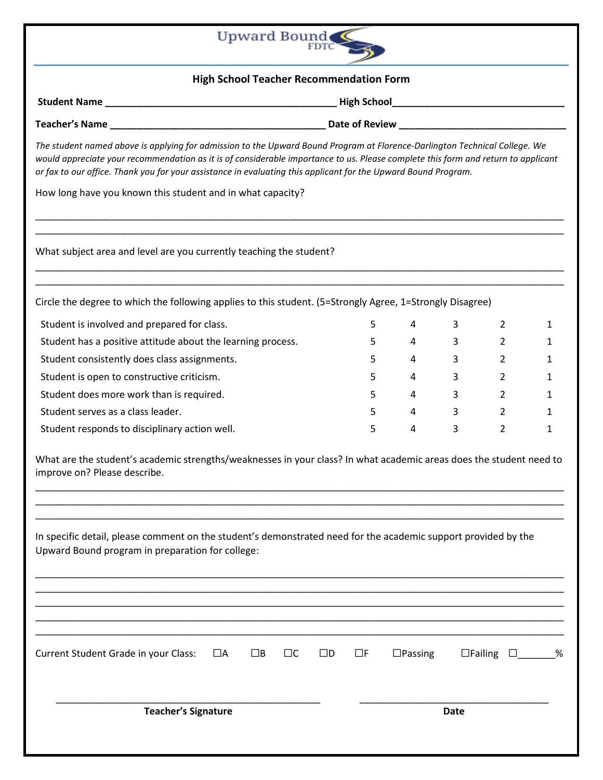# Upward Bound **FDTC**

# **High School Teacher Recommendation Form**

**Student Name \_\_\_\_\_\_\_\_\_\_\_\_\_\_\_\_\_\_\_\_\_\_\_\_\_\_\_\_\_\_\_\_\_\_\_\_\_\_\_\_\_\_\_ High School\_\_\_\_\_\_\_\_\_\_\_\_\_\_\_\_\_\_\_\_\_\_\_\_\_\_\_\_\_\_\_\_**

**Teacher's Name \_\_\_\_\_\_\_\_\_\_\_\_\_\_\_\_\_\_\_\_\_\_\_\_\_\_\_\_\_\_\_\_\_\_\_\_\_\_\_\_ Date of Review \_\_\_\_\_\_\_\_\_\_\_\_\_\_\_\_\_\_\_\_\_\_\_\_\_\_\_\_\_\_\_**

*The student named above is applying for admission to the Upward Bound Program at Florence-Darlington Technical College. We would appreciate your recommendation as it is of considerable importance to us. Please complete this form and return to applicant or fax to our office. Thank you for your assistance in evaluating this applicant for the Upward Bound Program.* 

\_\_\_\_\_\_\_\_\_\_\_\_\_\_\_\_\_\_\_\_\_\_\_\_\_\_\_\_\_\_\_\_\_\_\_\_\_\_\_\_\_\_\_\_\_\_\_\_\_\_\_\_\_\_\_\_\_\_\_\_\_\_\_\_\_\_\_\_\_\_\_\_\_\_\_\_\_\_\_\_\_\_\_\_\_\_\_\_\_\_\_\_\_\_\_\_\_\_ \_\_\_\_\_\_\_\_\_\_\_\_\_\_\_\_\_\_\_\_\_\_\_\_\_\_\_\_\_\_\_\_\_\_\_\_\_\_\_\_\_\_\_\_\_\_\_\_\_\_\_\_\_\_\_\_\_\_\_\_\_\_\_\_\_\_\_\_\_\_\_\_\_\_\_\_\_\_\_\_\_\_\_\_\_\_\_\_\_\_\_\_\_\_\_\_\_\_

\_\_\_\_\_\_\_\_\_\_\_\_\_\_\_\_\_\_\_\_\_\_\_\_\_\_\_\_\_\_\_\_\_\_\_\_\_\_\_\_\_\_\_\_\_\_\_\_\_\_\_\_\_\_\_\_\_\_\_\_\_\_\_\_\_\_\_\_\_\_\_\_\_\_\_\_\_\_\_\_\_\_\_\_\_\_\_\_\_\_\_\_\_\_\_\_\_\_ \_\_\_\_\_\_\_\_\_\_\_\_\_\_\_\_\_\_\_\_\_\_\_\_\_\_\_\_\_\_\_\_\_\_\_\_\_\_\_\_\_\_\_\_\_\_\_\_\_\_\_\_\_\_\_\_\_\_\_\_\_\_\_\_\_\_\_\_\_\_\_\_\_\_\_\_\_\_\_\_\_\_\_\_\_\_\_\_\_\_\_\_\_\_\_\_\_\_

How long have you known this student and in what capacity?

What subject area and level are you currently teaching the student?

Circle the degree to which the following applies to this student. (5=Strongly Agree, 1=Strongly Disagree)

| Student is involved and prepared for class.                 |    | 4 |    |  |
|-------------------------------------------------------------|----|---|----|--|
| Student has a positive attitude about the learning process. | 5  | 4 |    |  |
| Student consistently does class assignments.                |    | 4 | 3. |  |
| Student is open to constructive criticism.                  | 5. | 4 |    |  |
| Student does more work than is required.                    |    | 4 | 3  |  |
| Student serves as a class leader.                           |    | 4 | 3  |  |
| Student responds to disciplinary action well.               |    | 4 |    |  |

What are the student's academic strengths/weaknesses in your class? In what academic areas does the student need to improve on? Please describe.

\_\_\_\_\_\_\_\_\_\_\_\_\_\_\_\_\_\_\_\_\_\_\_\_\_\_\_\_\_\_\_\_\_\_\_\_\_\_\_\_\_\_\_\_\_\_\_\_\_\_\_\_\_\_\_\_\_\_\_\_\_\_\_\_\_\_\_\_\_\_\_\_\_\_\_\_\_\_\_\_\_\_\_\_\_\_\_\_\_\_\_\_\_\_\_\_\_\_ \_\_\_\_\_\_\_\_\_\_\_\_\_\_\_\_\_\_\_\_\_\_\_\_\_\_\_\_\_\_\_\_\_\_\_\_\_\_\_\_\_\_\_\_\_\_\_\_\_\_\_\_\_\_\_\_\_\_\_\_\_\_\_\_\_\_\_\_\_\_\_\_\_\_\_\_\_\_\_\_\_\_\_\_\_\_\_\_\_\_\_\_\_\_\_\_\_\_ \_\_\_\_\_\_\_\_\_\_\_\_\_\_\_\_\_\_\_\_\_\_\_\_\_\_\_\_\_\_\_\_\_\_\_\_\_\_\_\_\_\_\_\_\_\_\_\_\_\_\_\_\_\_\_\_\_\_\_\_\_\_\_\_\_\_\_\_\_\_\_\_\_\_\_\_\_\_\_\_\_\_\_\_\_\_\_\_\_\_\_\_\_\_\_\_\_\_

\_\_\_\_\_\_\_\_\_\_\_\_\_\_\_\_\_\_\_\_\_\_\_\_\_\_\_\_\_\_\_\_\_\_\_\_\_\_\_\_\_\_\_\_\_\_\_\_\_\_\_\_\_\_\_\_\_\_\_\_\_\_\_\_\_\_\_\_\_\_\_\_\_\_\_\_\_\_\_\_\_\_\_\_\_\_\_\_\_\_\_\_\_\_\_\_\_\_ \_\_\_\_\_\_\_\_\_\_\_\_\_\_\_\_\_\_\_\_\_\_\_\_\_\_\_\_\_\_\_\_\_\_\_\_\_\_\_\_\_\_\_\_\_\_\_\_\_\_\_\_\_\_\_\_\_\_\_\_\_\_\_\_\_\_\_\_\_\_\_\_\_\_\_\_\_\_\_\_\_\_\_\_\_\_\_\_\_\_\_\_\_\_\_\_\_\_ \_\_\_\_\_\_\_\_\_\_\_\_\_\_\_\_\_\_\_\_\_\_\_\_\_\_\_\_\_\_\_\_\_\_\_\_\_\_\_\_\_\_\_\_\_\_\_\_\_\_\_\_\_\_\_\_\_\_\_\_\_\_\_\_\_\_\_\_\_\_\_\_\_\_\_\_\_\_\_\_\_\_\_\_\_\_\_\_\_\_\_\_\_\_\_\_\_\_ \_\_\_\_\_\_\_\_\_\_\_\_\_\_\_\_\_\_\_\_\_\_\_\_\_\_\_\_\_\_\_\_\_\_\_\_\_\_\_\_\_\_\_\_\_\_\_\_\_\_\_\_\_\_\_\_\_\_\_\_\_\_\_\_\_\_\_\_\_\_\_\_\_\_\_\_\_\_\_\_\_\_\_\_\_\_\_\_\_\_\_\_\_\_\_\_\_\_ \_\_\_\_\_\_\_\_\_\_\_\_\_\_\_\_\_\_\_\_\_\_\_\_\_\_\_\_\_\_\_\_\_\_\_\_\_\_\_\_\_\_\_\_\_\_\_\_\_\_\_\_\_\_\_\_\_\_\_\_\_\_\_\_\_\_\_\_\_\_\_\_\_\_\_\_\_\_\_\_\_\_\_\_\_\_\_\_\_\_\_\_\_\_\_\_\_\_

Current Student Grade in your Class: ☐A ☐B ☐C ☐D ☐F ☐Passing ☐Failing ☐\_\_\_\_\_\_\_%

\_\_\_\_\_\_\_\_\_\_\_\_\_\_\_\_\_\_\_\_\_\_\_\_\_\_\_\_\_\_\_\_\_\_\_\_\_\_\_\_\_\_\_\_\_\_\_\_\_ \_\_\_\_\_\_\_\_\_\_\_\_\_\_\_\_\_\_\_\_\_\_\_\_\_\_\_\_\_\_\_\_\_\_\_

In specific detail, please comment on the student's demonstrated need for the academic support provided by the Upward Bound program in preparation for college:

**Teacher's Signature Date**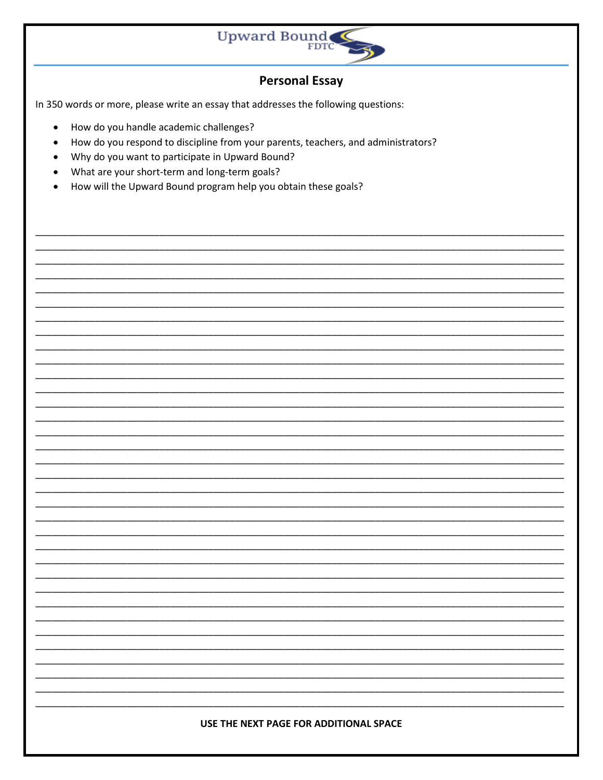

# **Personal Essay**

In 350 words or more, please write an essay that addresses the following questions:

- How do you handle academic challenges?  $\bullet$
- How do you respond to discipline from your parents, teachers, and administrators?
- Why do you want to participate in Upward Bound?
- What are your short-term and long-term goals?
- How will the Upward Bound program help you obtain these goals?

| USE THE NEXT PAGE FOR ADDITIONAL SPACE |  |
|----------------------------------------|--|
|                                        |  |
|                                        |  |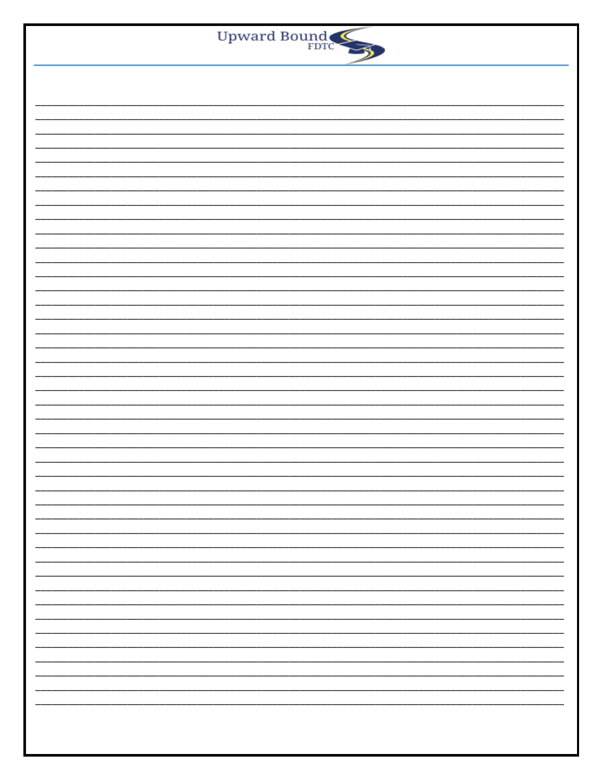| Upward Bound |  |  |  |
|--------------|--|--|--|
|              |  |  |  |
|              |  |  |  |
|              |  |  |  |
|              |  |  |  |
|              |  |  |  |
|              |  |  |  |
|              |  |  |  |
|              |  |  |  |
|              |  |  |  |
|              |  |  |  |
|              |  |  |  |
|              |  |  |  |
|              |  |  |  |
|              |  |  |  |
|              |  |  |  |
|              |  |  |  |
|              |  |  |  |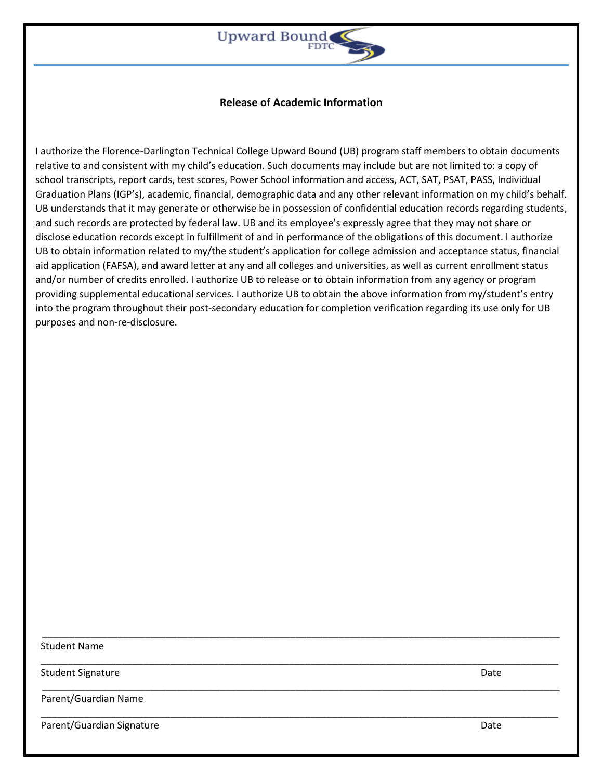

#### **Release of Academic Information**

I authorize the Florence-Darlington Technical College Upward Bound (UB) program staff members to obtain documents relative to and consistent with my child's education. Such documents may include but are not limited to: a copy of school transcripts, report cards, test scores, Power School information and access, ACT, SAT, PSAT, PASS, Individual Graduation Plans (IGP's), academic, financial, demographic data and any other relevant information on my child's behalf. UB understands that it may generate or otherwise be in possession of confidential education records regarding students, and such records are protected by federal law. UB and its employee's expressly agree that they may not share or disclose education records except in fulfillment of and in performance of the obligations of this document. I authorize UB to obtain information related to my/the student's application for college admission and acceptance status, financial aid application (FAFSA), and award letter at any and all colleges and universities, as well as current enrollment status and/or number of credits enrolled. I authorize UB to release or to obtain information from any agency or program providing supplemental educational services. I authorize UB to obtain the above information from my/student's entry into the program throughout their post-secondary education for completion verification regarding its use only for UB purposes and non-re-disclosure.

\_\_\_\_\_\_\_\_\_\_\_\_\_\_\_\_\_\_\_\_\_\_\_\_\_\_\_\_\_\_\_\_\_\_\_\_\_\_\_\_\_\_\_\_\_\_\_\_\_\_\_\_\_\_\_\_\_\_\_\_\_\_\_\_\_\_\_\_\_\_\_\_\_\_\_\_\_\_\_\_\_\_\_\_\_\_\_\_\_\_\_\_\_\_\_\_

\_\_\_\_\_\_\_\_\_\_\_\_\_\_\_\_\_\_\_\_\_\_\_\_\_\_\_\_\_\_\_\_\_\_\_\_\_\_\_\_\_\_\_\_\_\_\_\_\_\_\_\_\_\_\_\_\_\_\_\_\_\_\_\_\_\_\_\_\_\_\_\_\_\_\_\_\_\_\_\_\_\_\_\_\_\_\_\_\_\_\_\_\_\_\_\_

\_\_\_\_\_\_\_\_\_\_\_\_\_\_\_\_\_\_\_\_\_\_\_\_\_\_\_\_\_\_\_\_\_\_\_\_\_\_\_\_\_\_\_\_\_\_\_\_\_\_\_\_\_\_\_\_\_\_\_\_\_\_\_\_\_\_\_\_\_\_\_\_\_\_\_\_\_\_\_\_\_\_\_\_\_\_\_\_\_\_\_\_\_\_\_\_

\_\_\_\_\_\_\_\_\_\_\_\_\_\_\_\_\_\_\_\_\_\_\_\_\_\_\_\_\_\_\_\_\_\_\_\_\_\_\_\_\_\_\_\_\_\_\_\_\_\_\_\_\_\_\_\_\_\_\_\_\_\_\_\_\_\_\_\_\_\_\_\_\_\_\_\_\_\_\_\_\_\_\_\_\_\_\_\_\_\_\_\_\_\_\_\_

Student Name

Student Signature Date Date of the Student Signature Date of the Student Signature Date Date of the Date of the Date of the Date of the Date of the Date of the Date of the Date of the Date of the Date of the Date of the Da

Parent/Guardian Name

Parent/Guardian Signature **Date of American Structure Date** Date of Parents Controller and Date of Date of Parents Controller and Date of Parents Controller and Date of Parents Controller and Date of Parents Controller and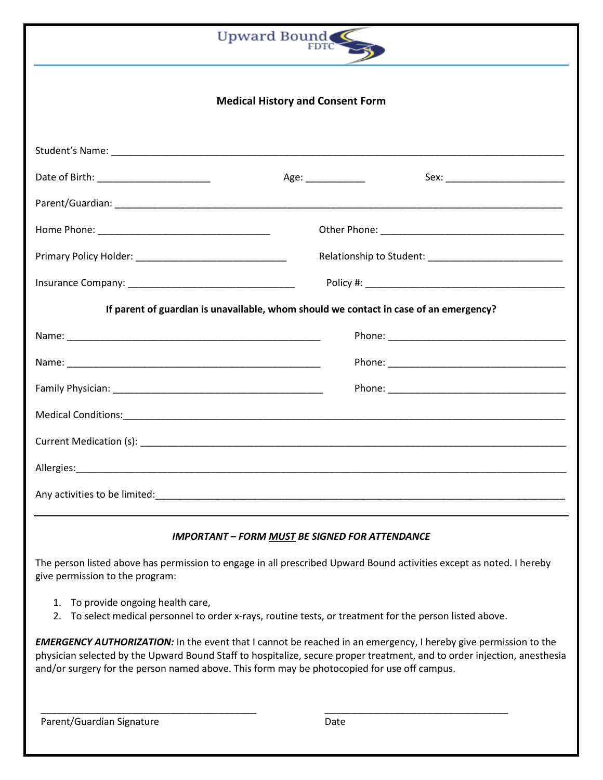| Upward Bound                             |                                                                                                                                                                                                                                                                                                                                                   |  |  |
|------------------------------------------|---------------------------------------------------------------------------------------------------------------------------------------------------------------------------------------------------------------------------------------------------------------------------------------------------------------------------------------------------|--|--|
| <b>Medical History and Consent Form</b>  |                                                                                                                                                                                                                                                                                                                                                   |  |  |
|                                          |                                                                                                                                                                                                                                                                                                                                                   |  |  |
| Date of Birth: _________________________ | Age: ___________                                                                                                                                                                                                                                                                                                                                  |  |  |
|                                          |                                                                                                                                                                                                                                                                                                                                                   |  |  |
|                                          |                                                                                                                                                                                                                                                                                                                                                   |  |  |
|                                          |                                                                                                                                                                                                                                                                                                                                                   |  |  |
|                                          |                                                                                                                                                                                                                                                                                                                                                   |  |  |
|                                          | If parent of guardian is unavailable, whom should we contact in case of an emergency?                                                                                                                                                                                                                                                             |  |  |
|                                          |                                                                                                                                                                                                                                                                                                                                                   |  |  |
|                                          |                                                                                                                                                                                                                                                                                                                                                   |  |  |
|                                          |                                                                                                                                                                                                                                                                                                                                                   |  |  |
|                                          |                                                                                                                                                                                                                                                                                                                                                   |  |  |
|                                          |                                                                                                                                                                                                                                                                                                                                                   |  |  |
| Allergies:                               |                                                                                                                                                                                                                                                                                                                                                   |  |  |
|                                          |                                                                                                                                                                                                                                                                                                                                                   |  |  |
|                                          | <b>IMPORTANT - FORM MUST BE SIGNED FOR ATTENDANCE</b>                                                                                                                                                                                                                                                                                             |  |  |
| give permission to the program:          | The person listed above has permission to engage in all prescribed Upward Bound activities except as noted. I hereby                                                                                                                                                                                                                              |  |  |
| 1. To provide ongoing health care,<br>2. | To select medical personnel to order x-rays, routine tests, or treatment for the person listed above.                                                                                                                                                                                                                                             |  |  |
|                                          | <b>EMERGENCY AUTHORIZATION:</b> In the event that I cannot be reached in an emergency, I hereby give permission to the<br>physician selected by the Upward Bound Staff to hospitalize, secure proper treatment, and to order injection, anesthesia<br>and/or surgery for the person named above. This form may be photocopied for use off campus. |  |  |

Parent/Guardian Signature Date

\_\_\_\_\_\_\_\_\_\_\_\_\_\_\_\_\_\_\_\_\_\_\_\_\_\_\_\_\_\_\_\_\_\_\_\_\_\_\_\_ \_\_\_\_\_\_\_\_\_\_\_\_\_\_\_\_\_\_\_\_\_\_\_\_\_\_\_\_\_\_\_\_\_\_